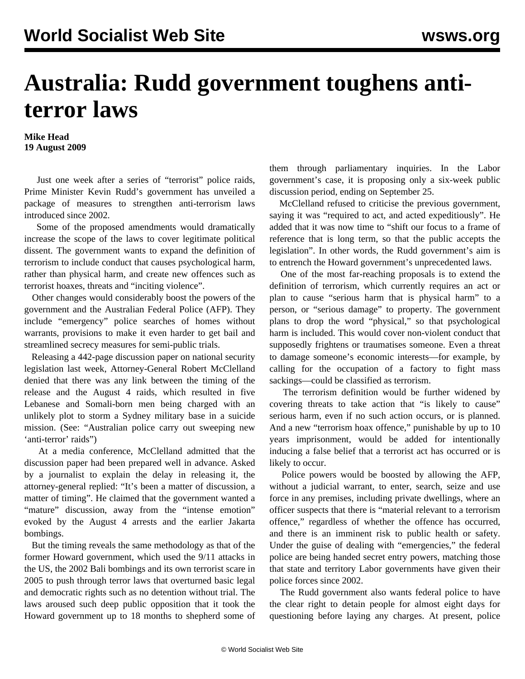## **Australia: Rudd government toughens antiterror laws**

**Mike Head 19 August 2009**

 Just one week after a series of "terrorist" police raids, Prime Minister Kevin Rudd's government has unveiled a package of measures to strengthen anti-terrorism laws introduced since 2002.

 Some of the proposed amendments would dramatically increase the scope of the laws to cover legitimate political dissent. The government wants to expand the definition of terrorism to include conduct that causes psychological harm, rather than physical harm, and create new offences such as terrorist hoaxes, threats and "inciting violence".

 Other changes would considerably boost the powers of the government and the Australian Federal Police (AFP). They include "emergency" police searches of homes without warrants, provisions to make it even harder to get bail and streamlined secrecy measures for semi-public trials.

 Releasing a 442-page discussion paper on national security legislation last week, Attorney-General Robert McClelland denied that there was any link between the timing of the release and the August 4 raids, which resulted in five Lebanese and Somali-born men being charged with an unlikely plot to storm a Sydney military base in a suicide mission. (See: "[Australian police carry out sweeping new](/en/articles/2009/aug2009/terr-a05.shtml) ['anti-terror' raids](/en/articles/2009/aug2009/terr-a05.shtml)")

 At a media conference, McClelland admitted that the discussion paper had been prepared well in advance. Asked by a journalist to explain the delay in releasing it, the attorney-general replied: "It's been a matter of discussion, a matter of timing". He claimed that the government wanted a "mature" discussion, away from the "intense emotion" evoked by the August 4 arrests and the earlier Jakarta bombings.

 But the timing reveals the same methodology as that of the former Howard government, which used the 9/11 attacks in the US, the 2002 Bali bombings and its own terrorist scare in 2005 to push through terror laws that overturned basic legal and democratic rights such as no detention without trial. The laws aroused such deep public opposition that it took the Howard government up to 18 months to shepherd some of them through parliamentary inquiries. In the Labor government's case, it is proposing only a six-week public discussion period, ending on September 25.

 McClelland refused to criticise the previous government, saying it was "required to act, and acted expeditiously". He added that it was now time to "shift our focus to a frame of reference that is long term, so that the public accepts the legislation". In other words, the Rudd government's aim is to entrench the Howard government's unprecedented laws.

 One of the most far-reaching proposals is to extend the definition of terrorism, which currently requires an act or plan to cause "serious harm that is physical harm" to a person, or "serious damage" to property. The government plans to drop the word "physical," so that psychological harm is included. This would cover non-violent conduct that supposedly frightens or traumatises someone. Even a threat to damage someone's economic interests—for example, by calling for the occupation of a factory to fight mass sackings—could be classified as terrorism.

 The terrorism definition would be further widened by covering threats to take action that "is likely to cause" serious harm, even if no such action occurs, or is planned. And a new "terrorism hoax offence," punishable by up to 10 years imprisonment, would be added for intentionally inducing a false belief that a terrorist act has occurred or is likely to occur.

 Police powers would be boosted by allowing the AFP, without a judicial warrant, to enter, search, seize and use force in any premises, including private dwellings, where an officer suspects that there is "material relevant to a terrorism offence," regardless of whether the offence has occurred, and there is an imminent risk to public health or safety. Under the guise of dealing with "emergencies," the federal police are being handed secret entry powers, matching those that state and territory Labor governments have given their police forces since 2002.

 The Rudd government also wants federal police to have the clear right to detain people for almost eight days for questioning before laying any charges. At present, police